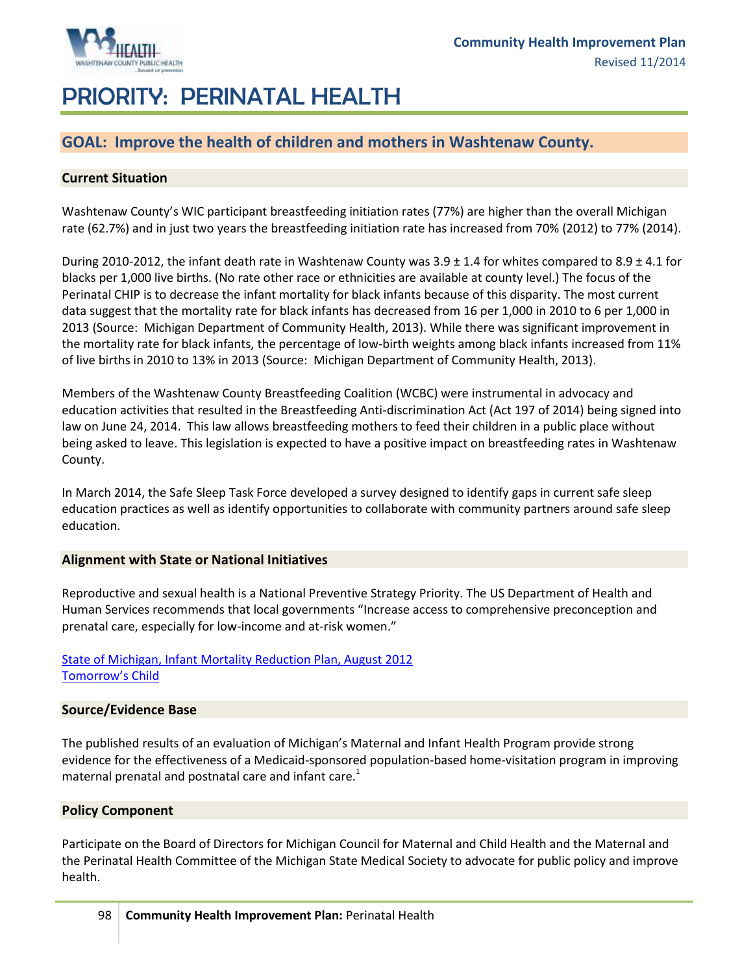

# PRIORITY: PERINATAL HEALTH

## **GOAL: Improve the health of children and mothers in Washtenaw County.**

#### **Current Situation**

Washtenaw County's WIC participant breastfeeding initiation rates (77%) are higher than the overall Michigan rate (62.7%) and in just two years the breastfeeding initiation rate has increased from 70% (2012) to 77% (2014).

During 2010-2012, the infant death rate in Washtenaw County was  $3.9 \pm 1.4$  for whites compared to  $8.9 \pm 4.1$  for blacks per 1,000 live births. (No rate other race or ethnicities are available at county level.) The focus of the Perinatal CHIP is to decrease the infant mortality for black infants because of this disparity. The most current data suggest that the mortality rate for black infants has decreased from 16 per 1,000 in 2010 to 6 per 1,000 in 2013 (Source: Michigan Department of Community Health, 2013). While there was significant improvement in the mortality rate for black infants, the percentage of low-birth weights among black infants increased from 11% of live births in 2010 to 13% in 2013 (Source: Michigan Department of Community Health, 2013).

Members of the Washtenaw County Breastfeeding Coalition (WCBC) were instrumental in advocacy and education activities that resulted in the Breastfeeding Anti-discrimination Act (Act 197 of 2014) being signed into law on June 24, 2014. This law allows breastfeeding mothers to feed their children in a public place without being asked to leave. This legislation is expected to have a positive impact on breastfeeding rates in Washtenaw County.

In March 2014, the Safe Sleep Task Force developed a survey designed to identify gaps in current safe sleep education practices as well as identify opportunities to collaborate with community partners around safe sleep education.

#### **Alignment with State or National Initiatives**

Reproductive and sexual health is a National Preventive Strategy Priority. The US Department of Health and Human Services recommends that local governments "Increase access to comprehensive preconception and prenatal care, especially for low-income and at-risk women."

#### [State of Michigan, Infant Mortality Reduction Plan, August 2012](http://www.michigan.gov/documents/mdch/MichiganIMReductionPlan_393783_7.pdf) [Tomorrow's Child](http://www.tomorrowschildmi.org/)

#### **Source/Evidence Base**

The published results of an evaluation of Michigan's Maternal and Infant Health Program provide strong evidence for the effectiveness of a Medicaid-sponsored population-based home-visitation program in improving maternal prenatal and postnatal care and infant care.<sup>1</sup>

#### **Policy Component**

Participate on the Board of Directors for Michigan Council for Maternal and Child Health and the Maternal and the Perinatal Health Committee of the Michigan State Medical Society to advocate for public policy and improve health.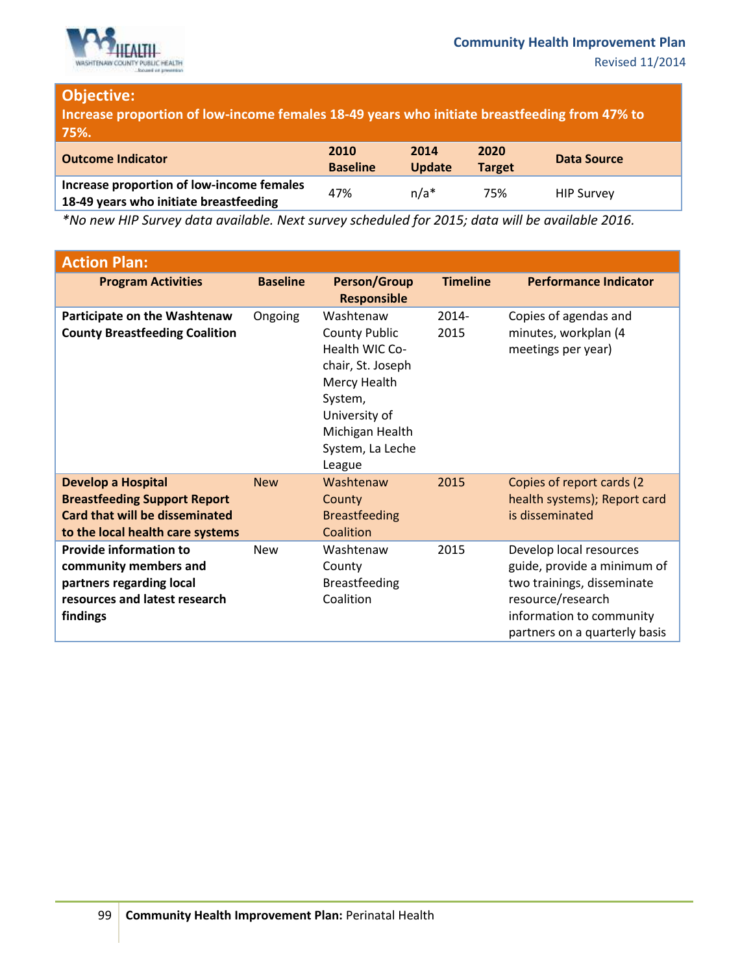

## **Objective:**

**Increase proportion of low-income females 18-49 years who initiate breastfeeding from 47% to 75%.**

| <b>Outcome Indicator</b>                                                            | 2010<br><b>Baseline</b> | 2014<br><b>Update</b> | 2020<br><b>Target</b> | Data Source       |
|-------------------------------------------------------------------------------------|-------------------------|-----------------------|-----------------------|-------------------|
| Increase proportion of low-income females<br>18-49 years who initiate breastfeeding | 47%                     | $n/a*$                | 75%                   | <b>HIP Survey</b> |

*\*No new HIP Survey data available. Next survey scheduled for 2015; data will be available 2016.*

| <b>Action Plan:</b>                                                                                                                           |                 |                                                                                                                                                                       |                 |                                                                                                                                                                        |
|-----------------------------------------------------------------------------------------------------------------------------------------------|-----------------|-----------------------------------------------------------------------------------------------------------------------------------------------------------------------|-----------------|------------------------------------------------------------------------------------------------------------------------------------------------------------------------|
| <b>Program Activities</b>                                                                                                                     | <b>Baseline</b> | <b>Person/Group</b><br><b>Responsible</b>                                                                                                                             | <b>Timeline</b> | <b>Performance Indicator</b>                                                                                                                                           |
| Participate on the Washtenaw<br><b>County Breastfeeding Coalition</b>                                                                         | Ongoing         | Washtenaw<br><b>County Public</b><br>Health WIC Co-<br>chair, St. Joseph<br>Mercy Health<br>System,<br>University of<br>Michigan Health<br>System, La Leche<br>League | 2014-<br>2015   | Copies of agendas and<br>minutes, workplan (4<br>meetings per year)                                                                                                    |
| <b>Develop a Hospital</b><br><b>Breastfeeding Support Report</b><br><b>Card that will be disseminated</b><br>to the local health care systems | <b>New</b>      | Washtenaw<br>County<br><b>Breastfeeding</b><br>Coalition                                                                                                              | 2015            | Copies of report cards (2)<br>health systems); Report card<br>is disseminated                                                                                          |
| <b>Provide information to</b><br>community members and<br>partners regarding local<br>resources and latest research<br>findings               | <b>New</b>      | Washtenaw<br>County<br><b>Breastfeeding</b><br>Coalition                                                                                                              | 2015            | Develop local resources<br>guide, provide a minimum of<br>two trainings, disseminate<br>resource/research<br>information to community<br>partners on a quarterly basis |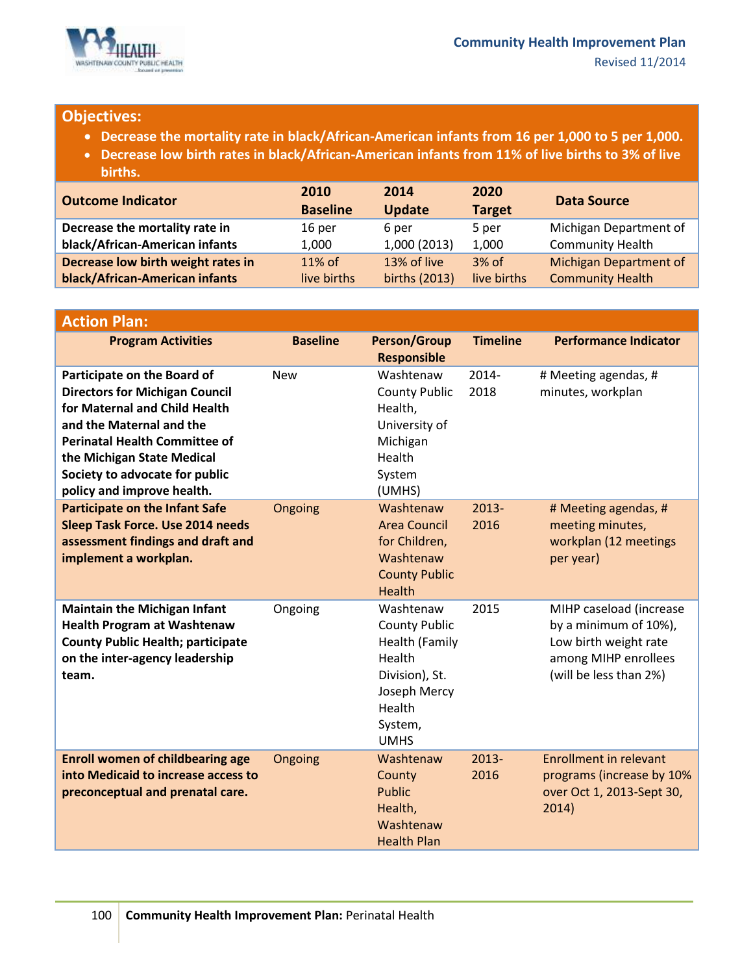

### **Objectives:**

- **Decrease the mortality rate in black/African-American infants from 16 per 1,000 to 5 per 1,000.**
- **Decrease low birth rates in black/African-American infants from 11% of live births to 3% of live births.**

| <b>Outcome Indicator</b>           | 2010<br><b>Baseline</b> | 2014<br><b>Update</b> | 2020<br><b>Target</b> | <b>Data Source</b>            |
|------------------------------------|-------------------------|-----------------------|-----------------------|-------------------------------|
| Decrease the mortality rate in     | 16 per                  | 6 per                 | 5 per                 | Michigan Department of        |
| black/African-American infants     | 1,000                   | 1,000 (2013)          | 1,000                 | <b>Community Health</b>       |
| Decrease low birth weight rates in | 11% of                  | 13% of live           | $3%$ of               | <b>Michigan Department of</b> |
| black/African-American infants     | live births             | births (2013)         | live births           | <b>Community Health</b>       |

| <b>Action Plan:</b>                                                                                                                                                                                                                                                     |                 |                                                                                                                                     |                  |                                                                                                                             |
|-------------------------------------------------------------------------------------------------------------------------------------------------------------------------------------------------------------------------------------------------------------------------|-----------------|-------------------------------------------------------------------------------------------------------------------------------------|------------------|-----------------------------------------------------------------------------------------------------------------------------|
| <b>Program Activities</b>                                                                                                                                                                                                                                               | <b>Baseline</b> | <b>Person/Group</b><br><b>Responsible</b>                                                                                           | <b>Timeline</b>  | <b>Performance Indicator</b>                                                                                                |
| Participate on the Board of<br><b>Directors for Michigan Council</b><br>for Maternal and Child Health<br>and the Maternal and the<br><b>Perinatal Health Committee of</b><br>the Michigan State Medical<br>Society to advocate for public<br>policy and improve health. | <b>New</b>      | Washtenaw<br><b>County Public</b><br>Health,<br>University of<br>Michigan<br>Health<br>System<br>(UMHS)                             | 2014-<br>2018    | # Meeting agendas, #<br>minutes, workplan                                                                                   |
| <b>Participate on the Infant Safe</b><br><b>Sleep Task Force. Use 2014 needs</b><br>assessment findings and draft and<br>implement a workplan.                                                                                                                          | Ongoing         | Washtenaw<br><b>Area Council</b><br>for Children,<br>Washtenaw<br><b>County Public</b><br><b>Health</b>                             | $2013 -$<br>2016 | # Meeting agendas, #<br>meeting minutes,<br>workplan (12 meetings<br>per year)                                              |
| <b>Maintain the Michigan Infant</b><br><b>Health Program at Washtenaw</b><br><b>County Public Health; participate</b><br>on the inter-agency leadership<br>team.                                                                                                        | Ongoing         | Washtenaw<br><b>County Public</b><br>Health (Family<br>Health<br>Division), St.<br>Joseph Mercy<br>Health<br>System,<br><b>UMHS</b> | 2015             | MIHP caseload (increase<br>by a minimum of 10%),<br>Low birth weight rate<br>among MIHP enrollees<br>(will be less than 2%) |
| <b>Enroll women of childbearing age</b><br>into Medicaid to increase access to<br>preconceptual and prenatal care.                                                                                                                                                      | Ongoing         | Washtenaw<br>County<br><b>Public</b><br>Health,<br>Washtenaw<br><b>Health Plan</b>                                                  | 2013-<br>2016    | <b>Enrollment in relevant</b><br>programs (increase by 10%<br>over Oct 1, 2013-Sept 30,<br>2014)                            |